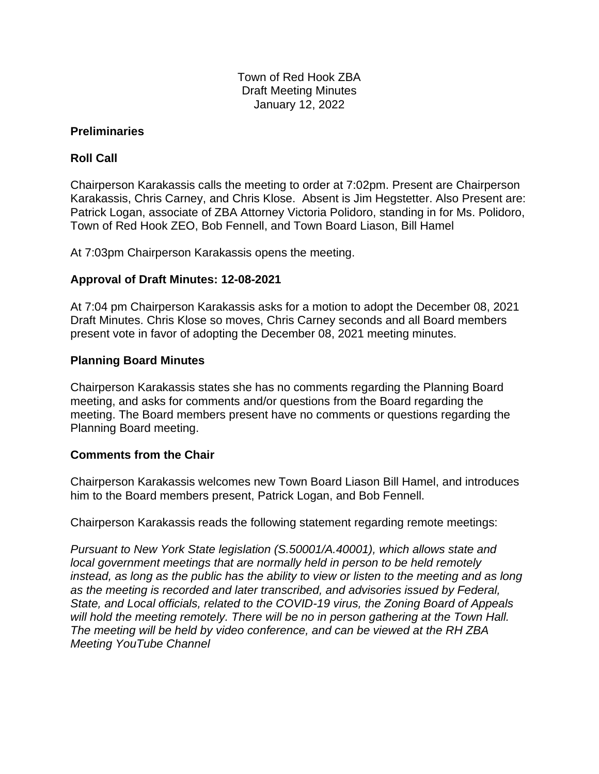Town of Red Hook ZBA Draft Meeting Minutes January 12, 2022

### **Preliminaries**

# **Roll Call**

Chairperson Karakassis calls the meeting to order at 7:02pm. Present are Chairperson Karakassis, Chris Carney, and Chris Klose. Absent is Jim Hegstetter. Also Present are: Patrick Logan, associate of ZBA Attorney Victoria Polidoro, standing in for Ms. Polidoro, Town of Red Hook ZEO, Bob Fennell, and Town Board Liason, Bill Hamel

At 7:03pm Chairperson Karakassis opens the meeting.

# **Approval of Draft Minutes: 12-08-2021**

At 7:04 pm Chairperson Karakassis asks for a motion to adopt the December 08, 2021 Draft Minutes. Chris Klose so moves, Chris Carney seconds and all Board members present vote in favor of adopting the December 08, 2021 meeting minutes.

### **Planning Board Minutes**

Chairperson Karakassis states she has no comments regarding the Planning Board meeting, and asks for comments and/or questions from the Board regarding the meeting. The Board members present have no comments or questions regarding the Planning Board meeting.

#### **Comments from the Chair**

Chairperson Karakassis welcomes new Town Board Liason Bill Hamel, and introduces him to the Board members present, Patrick Logan, and Bob Fennell.

Chairperson Karakassis reads the following statement regarding remote meetings:

*Pursuant to New York State legislation (S.50001/A.40001), which allows state and local government meetings that are normally held in person to be held remotely instead, as long as the public has the ability to view or listen to the meeting and as long as the meeting is recorded and later transcribed, and advisories issued by Federal, State, and Local officials, related to the COVID-19 virus, the Zoning Board of Appeals will hold the meeting remotely. There will be no in person gathering at the Town Hall. The meeting will be held by video conference, and can be viewed at the RH ZBA Meeting YouTube Channel*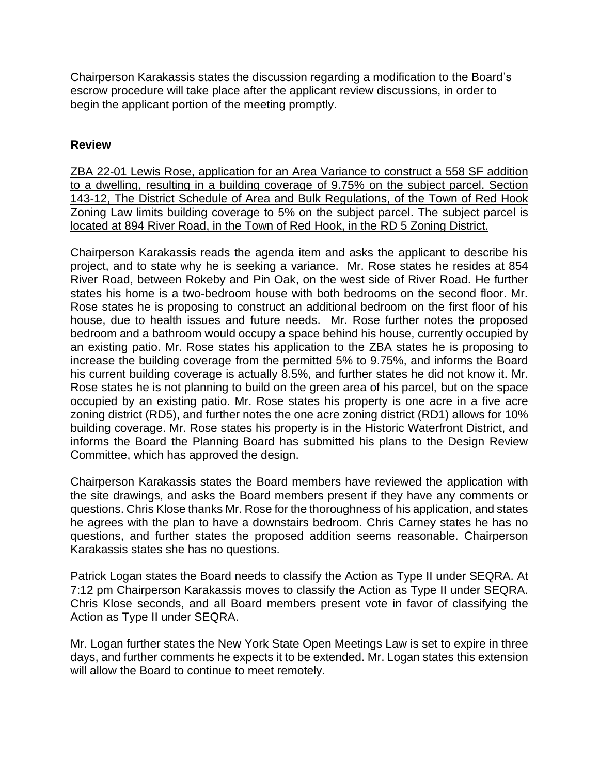Chairperson Karakassis states the discussion regarding a modification to the Board's escrow procedure will take place after the applicant review discussions, in order to begin the applicant portion of the meeting promptly.

### **Review**

ZBA 22-01 Lewis Rose, application for an Area Variance to construct a 558 SF addition to a dwelling, resulting in a building coverage of 9.75% on the subject parcel. Section 143-12, The District Schedule of Area and Bulk Regulations, of the Town of Red Hook Zoning Law limits building coverage to 5% on the subject parcel. The subject parcel is located at 894 River Road, in the Town of Red Hook, in the RD 5 Zoning District.

Chairperson Karakassis reads the agenda item and asks the applicant to describe his project, and to state why he is seeking a variance. Mr. Rose states he resides at 854 River Road, between Rokeby and Pin Oak, on the west side of River Road. He further states his home is a two-bedroom house with both bedrooms on the second floor. Mr. Rose states he is proposing to construct an additional bedroom on the first floor of his house, due to health issues and future needs. Mr. Rose further notes the proposed bedroom and a bathroom would occupy a space behind his house, currently occupied by an existing patio. Mr. Rose states his application to the ZBA states he is proposing to increase the building coverage from the permitted 5% to 9.75%, and informs the Board his current building coverage is actually 8.5%, and further states he did not know it. Mr. Rose states he is not planning to build on the green area of his parcel, but on the space occupied by an existing patio. Mr. Rose states his property is one acre in a five acre zoning district (RD5), and further notes the one acre zoning district (RD1) allows for 10% building coverage. Mr. Rose states his property is in the Historic Waterfront District, and informs the Board the Planning Board has submitted his plans to the Design Review Committee, which has approved the design.

Chairperson Karakassis states the Board members have reviewed the application with the site drawings, and asks the Board members present if they have any comments or questions. Chris Klose thanks Mr. Rose for the thoroughness of his application, and states he agrees with the plan to have a downstairs bedroom. Chris Carney states he has no questions, and further states the proposed addition seems reasonable. Chairperson Karakassis states she has no questions.

Patrick Logan states the Board needs to classify the Action as Type II under SEQRA. At 7:12 pm Chairperson Karakassis moves to classify the Action as Type II under SEQRA. Chris Klose seconds, and all Board members present vote in favor of classifying the Action as Type II under SEQRA.

Mr. Logan further states the New York State Open Meetings Law is set to expire in three days, and further comments he expects it to be extended. Mr. Logan states this extension will allow the Board to continue to meet remotely.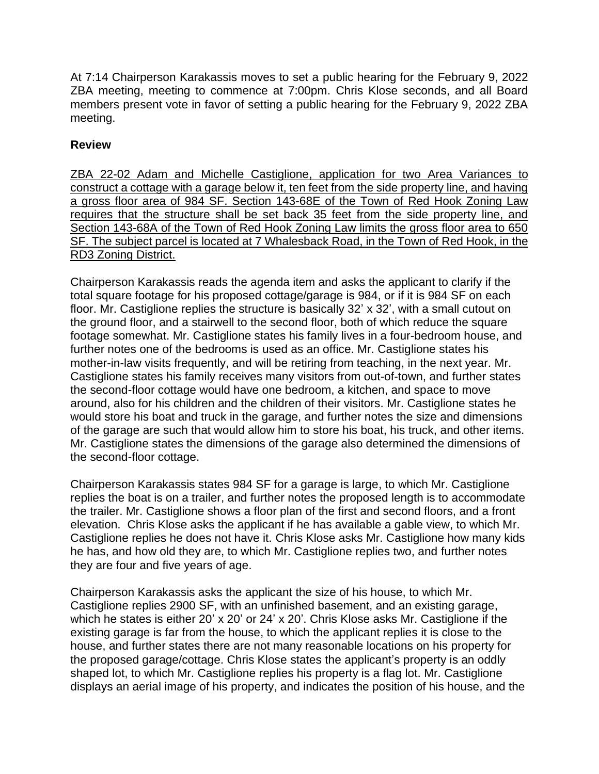At 7:14 Chairperson Karakassis moves to set a public hearing for the February 9, 2022 ZBA meeting, meeting to commence at 7:00pm. Chris Klose seconds, and all Board members present vote in favor of setting a public hearing for the February 9, 2022 ZBA meeting.

## **Review**

ZBA 22-02 Adam and Michelle Castiglione, application for two Area Variances to construct a cottage with a garage below it, ten feet from the side property line, and having a gross floor area of 984 SF. Section 143-68E of the Town of Red Hook Zoning Law requires that the structure shall be set back 35 feet from the side property line, and Section 143-68A of the Town of Red Hook Zoning Law limits the gross floor area to 650 SF. The subject parcel is located at 7 Whalesback Road, in the Town of Red Hook, in the RD3 Zoning District.

Chairperson Karakassis reads the agenda item and asks the applicant to clarify if the total square footage for his proposed cottage/garage is 984, or if it is 984 SF on each floor. Mr. Castiglione replies the structure is basically 32' x 32', with a small cutout on the ground floor, and a stairwell to the second floor, both of which reduce the square footage somewhat. Mr. Castiglione states his family lives in a four-bedroom house, and further notes one of the bedrooms is used as an office. Mr. Castiglione states his mother-in-law visits frequently, and will be retiring from teaching, in the next year. Mr. Castiglione states his family receives many visitors from out-of-town, and further states the second-floor cottage would have one bedroom, a kitchen, and space to move around, also for his children and the children of their visitors. Mr. Castiglione states he would store his boat and truck in the garage, and further notes the size and dimensions of the garage are such that would allow him to store his boat, his truck, and other items. Mr. Castiglione states the dimensions of the garage also determined the dimensions of the second-floor cottage.

Chairperson Karakassis states 984 SF for a garage is large, to which Mr. Castiglione replies the boat is on a trailer, and further notes the proposed length is to accommodate the trailer. Mr. Castiglione shows a floor plan of the first and second floors, and a front elevation. Chris Klose asks the applicant if he has available a gable view, to which Mr. Castiglione replies he does not have it. Chris Klose asks Mr. Castiglione how many kids he has, and how old they are, to which Mr. Castiglione replies two, and further notes they are four and five years of age.

Chairperson Karakassis asks the applicant the size of his house, to which Mr. Castiglione replies 2900 SF, with an unfinished basement, and an existing garage, which he states is either 20' x 20' or 24' x 20'. Chris Klose asks Mr. Castiglione if the existing garage is far from the house, to which the applicant replies it is close to the house, and further states there are not many reasonable locations on his property for the proposed garage/cottage. Chris Klose states the applicant's property is an oddly shaped lot, to which Mr. Castiglione replies his property is a flag lot. Mr. Castiglione displays an aerial image of his property, and indicates the position of his house, and the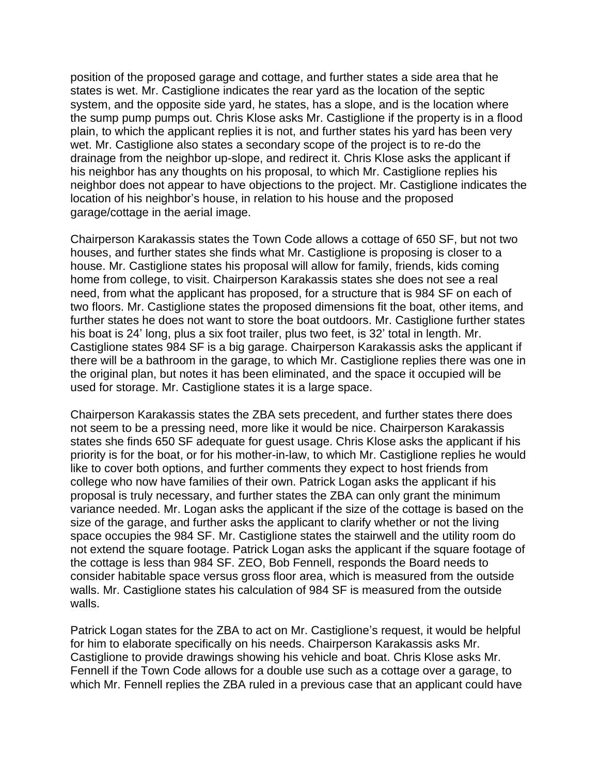position of the proposed garage and cottage, and further states a side area that he states is wet. Mr. Castiglione indicates the rear yard as the location of the septic system, and the opposite side yard, he states, has a slope, and is the location where the sump pump pumps out. Chris Klose asks Mr. Castiglione if the property is in a flood plain, to which the applicant replies it is not, and further states his yard has been very wet. Mr. Castiglione also states a secondary scope of the project is to re-do the drainage from the neighbor up-slope, and redirect it. Chris Klose asks the applicant if his neighbor has any thoughts on his proposal, to which Mr. Castiglione replies his neighbor does not appear to have objections to the project. Mr. Castiglione indicates the location of his neighbor's house, in relation to his house and the proposed garage/cottage in the aerial image.

Chairperson Karakassis states the Town Code allows a cottage of 650 SF, but not two houses, and further states she finds what Mr. Castiglione is proposing is closer to a house. Mr. Castiglione states his proposal will allow for family, friends, kids coming home from college, to visit. Chairperson Karakassis states she does not see a real need, from what the applicant has proposed, for a structure that is 984 SF on each of two floors. Mr. Castiglione states the proposed dimensions fit the boat, other items, and further states he does not want to store the boat outdoors. Mr. Castiglione further states his boat is 24' long, plus a six foot trailer, plus two feet, is 32' total in length. Mr. Castiglione states 984 SF is a big garage. Chairperson Karakassis asks the applicant if there will be a bathroom in the garage, to which Mr. Castiglione replies there was one in the original plan, but notes it has been eliminated, and the space it occupied will be used for storage. Mr. Castiglione states it is a large space.

Chairperson Karakassis states the ZBA sets precedent, and further states there does not seem to be a pressing need, more like it would be nice. Chairperson Karakassis states she finds 650 SF adequate for guest usage. Chris Klose asks the applicant if his priority is for the boat, or for his mother-in-law, to which Mr. Castiglione replies he would like to cover both options, and further comments they expect to host friends from college who now have families of their own. Patrick Logan asks the applicant if his proposal is truly necessary, and further states the ZBA can only grant the minimum variance needed. Mr. Logan asks the applicant if the size of the cottage is based on the size of the garage, and further asks the applicant to clarify whether or not the living space occupies the 984 SF. Mr. Castiglione states the stairwell and the utility room do not extend the square footage. Patrick Logan asks the applicant if the square footage of the cottage is less than 984 SF. ZEO, Bob Fennell, responds the Board needs to consider habitable space versus gross floor area, which is measured from the outside walls. Mr. Castiglione states his calculation of 984 SF is measured from the outside walls.

Patrick Logan states for the ZBA to act on Mr. Castiglione's request, it would be helpful for him to elaborate specifically on his needs. Chairperson Karakassis asks Mr. Castiglione to provide drawings showing his vehicle and boat. Chris Klose asks Mr. Fennell if the Town Code allows for a double use such as a cottage over a garage, to which Mr. Fennell replies the ZBA ruled in a previous case that an applicant could have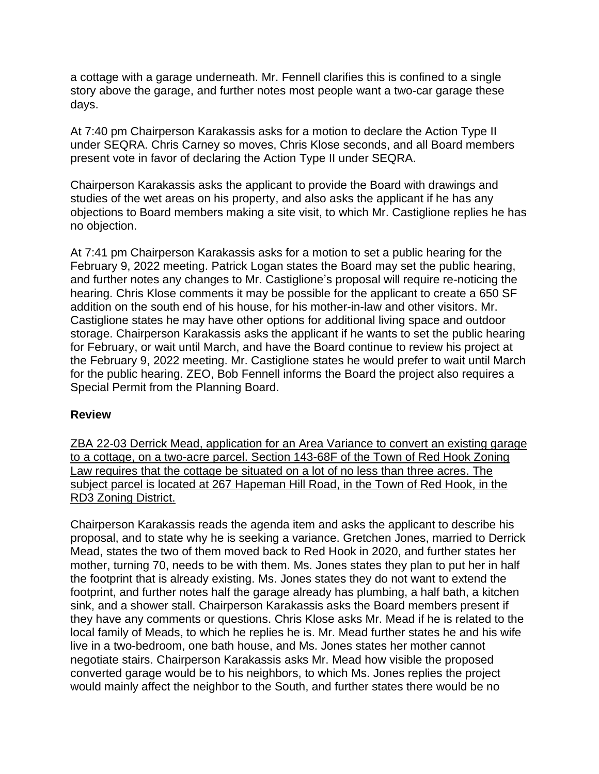a cottage with a garage underneath. Mr. Fennell clarifies this is confined to a single story above the garage, and further notes most people want a two-car garage these days.

At 7:40 pm Chairperson Karakassis asks for a motion to declare the Action Type II under SEQRA. Chris Carney so moves, Chris Klose seconds, and all Board members present vote in favor of declaring the Action Type II under SEQRA.

Chairperson Karakassis asks the applicant to provide the Board with drawings and studies of the wet areas on his property, and also asks the applicant if he has any objections to Board members making a site visit, to which Mr. Castiglione replies he has no objection.

At 7:41 pm Chairperson Karakassis asks for a motion to set a public hearing for the February 9, 2022 meeting. Patrick Logan states the Board may set the public hearing, and further notes any changes to Mr. Castiglione's proposal will require re-noticing the hearing. Chris Klose comments it may be possible for the applicant to create a 650 SF addition on the south end of his house, for his mother-in-law and other visitors. Mr. Castiglione states he may have other options for additional living space and outdoor storage. Chairperson Karakassis asks the applicant if he wants to set the public hearing for February, or wait until March, and have the Board continue to review his project at the February 9, 2022 meeting. Mr. Castiglione states he would prefer to wait until March for the public hearing. ZEO, Bob Fennell informs the Board the project also requires a Special Permit from the Planning Board.

#### **Review**

ZBA 22-03 Derrick Mead, application for an Area Variance to convert an existing garage to a cottage, on a two-acre parcel. Section 143-68F of the Town of Red Hook Zoning Law requires that the cottage be situated on a lot of no less than three acres. The subject parcel is located at 267 Hapeman Hill Road, in the Town of Red Hook, in the RD3 Zoning District.

Chairperson Karakassis reads the agenda item and asks the applicant to describe his proposal, and to state why he is seeking a variance. Gretchen Jones, married to Derrick Mead, states the two of them moved back to Red Hook in 2020, and further states her mother, turning 70, needs to be with them. Ms. Jones states they plan to put her in half the footprint that is already existing. Ms. Jones states they do not want to extend the footprint, and further notes half the garage already has plumbing, a half bath, a kitchen sink, and a shower stall. Chairperson Karakassis asks the Board members present if they have any comments or questions. Chris Klose asks Mr. Mead if he is related to the local family of Meads, to which he replies he is. Mr. Mead further states he and his wife live in a two-bedroom, one bath house, and Ms. Jones states her mother cannot negotiate stairs. Chairperson Karakassis asks Mr. Mead how visible the proposed converted garage would be to his neighbors, to which Ms. Jones replies the project would mainly affect the neighbor to the South, and further states there would be no